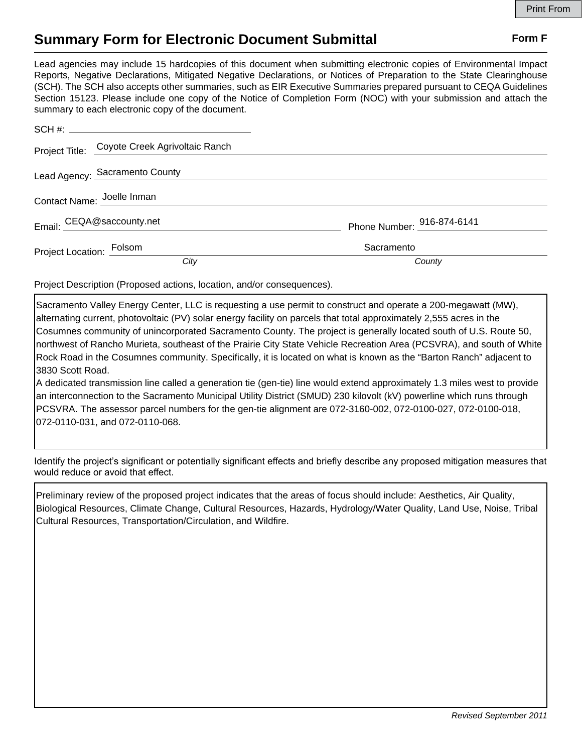## **Summary Form for Electronic Document Submittal Form F Form F**

Lead agencies may include 15 hardcopies of this document when submitting electronic copies of Environmental Impact Reports, Negative Declarations, Mitigated Negative Declarations, or Notices of Preparation to the State Clearinghouse (SCH). The SCH also accepts other summaries, such as EIR Executive Summaries prepared pursuant to CEQA Guidelines Section 15123. Please include one copy of the Notice of Completion Form (NOC) with your submission and attach the summary to each electronic copy of the document.

|                            | Project Title: Coyote Creek Agrivoltaic Ranch |                            |
|----------------------------|-----------------------------------------------|----------------------------|
|                            | Lead Agency: Sacramento County                |                            |
| Contact Name: Joelle Inman |                                               |                            |
|                            | Email: CEQA@saccounty.net                     | Phone Number: 916-874-6141 |
| Project Location: Folsom   |                                               | Sacramento                 |
|                            | City                                          | County                     |

Project Description (Proposed actions, location, and/or consequences).

Sacramento Valley Energy Center, LLC is requesting a use permit to construct and operate a 200-megawatt (MW), alternating current, photovoltaic (PV) solar energy facility on parcels that total approximately 2,555 acres in the Cosumnes community of unincorporated Sacramento County. The project is generally located south of U.S. Route 50, northwest of Rancho Murieta, southeast of the Prairie City State Vehicle Recreation Area (PCSVRA), and south of White Rock Road in the Cosumnes community. Specifically, it is located on what is known as the "Barton Ranch" adjacent to 3830 Scott Road.

A dedicated transmission line called a generation tie (gen-tie) line would extend approximately 1.3 miles west to provide an interconnection to the Sacramento Municipal Utility District (SMUD) 230 kilovolt (kV) powerline which runs through PCSVRA. The assessor parcel numbers for the gen-tie alignment are 072-3160-002, 072-0100-027, 072-0100-018, 072-0110-031, and 072-0110-068.

Identify the project's significant or potentially significant effects and briefly describe any proposed mitigation measures that would reduce or avoid that effect.

Preliminary review of the proposed project indicates that the areas of focus should include: Aesthetics, Air Quality, Biological Resources, Climate Change, Cultural Resources, Hazards, Hydrology/Water Quality, Land Use, Noise, Tribal Cultural Resources, Transportation/Circulation, and Wildfire.